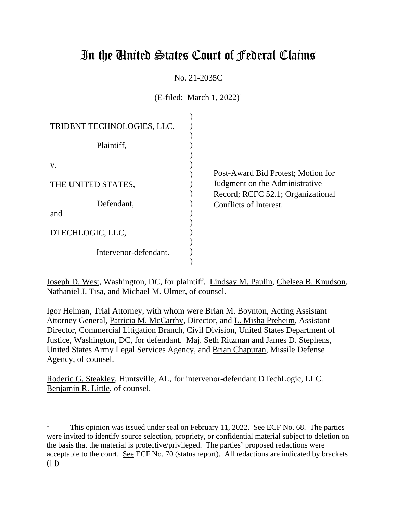# In the United States Court of Federal Claims

No. 21-2035C

 $(E\text{-field: March 1, }2022)^1$ 

| TRIDENT TECHNOLOGIES, LLC, |  |
|----------------------------|--|
| Plaintiff,                 |  |
| v.                         |  |
| THE UNITED STATES,         |  |
| Defendant,                 |  |
| and                        |  |
| DTECHLOGIC, LLC,           |  |
| Intervenor-defendant.      |  |
|                            |  |

Post-Award Bid Protest; Motion for Judgment on the Administrative Record; RCFC 52.1; Organizational Conflicts of Interest.

Joseph D. West, Washington, DC, for plaintiff. Lindsay M. Paulin, Chelsea B. Knudson, Nathaniel J. Tisa, and Michael M. Ulmer, of counsel.

Igor Helman, Trial Attorney, with whom were Brian M. Boynton, Acting Assistant Attorney General, Patricia M. McCarthy, Director, and L. Misha Preheim, Assistant Director, Commercial Litigation Branch, Civil Division, United States Department of Justice, Washington, DC, for defendant. Maj. Seth Ritzman and James D. Stephens, United States Army Legal Services Agency, and Brian Chapuran, Missile Defense Agency, of counsel.

Roderic G. Steakley, Huntsville, AL, for intervenor-defendant DTechLogic, LLC. Benjamin R. Little, of counsel.

<sup>&</sup>lt;sup>1</sup> This opinion was issued under seal on February 11, 2022. See ECF No. 68. The parties were invited to identify source selection, propriety, or confidential material subject to deletion on the basis that the material is protective/privileged. The parties' proposed redactions were acceptable to the court. See ECF No. 70 (status report). All redactions are indicated by brackets ([ ]).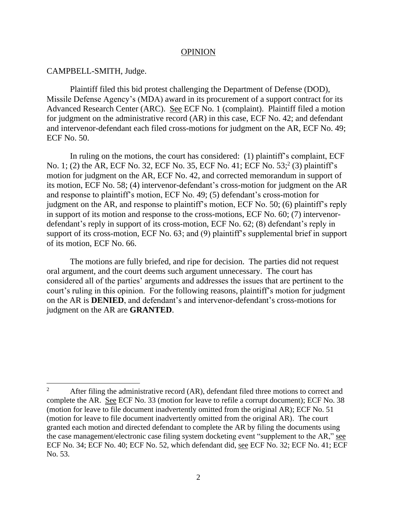#### OPINION

#### CAMPBELL-SMITH, Judge.

Plaintiff filed this bid protest challenging the Department of Defense (DOD), Missile Defense Agency's (MDA) award in its procurement of a support contract for its Advanced Research Center (ARC). See ECF No. 1 (complaint). Plaintiff filed a motion for judgment on the administrative record (AR) in this case, ECF No. 42; and defendant and intervenor-defendant each filed cross-motions for judgment on the AR, ECF No. 49; ECF No. 50.

In ruling on the motions, the court has considered: (1) plaintiff's complaint, ECF No. 1; (2) the AR, ECF No. 32, ECF No. 35, ECF No. 41; ECF No. 53; 2 (3) plaintiff's motion for judgment on the AR, ECF No. 42, and corrected memorandum in support of its motion, ECF No. 58; (4) intervenor-defendant's cross-motion for judgment on the AR and response to plaintiff's motion, ECF No. 49; (5) defendant's cross-motion for judgment on the AR, and response to plaintiff's motion, ECF No. 50; (6) plaintiff's reply in support of its motion and response to the cross-motions, ECF No. 60; (7) intervenordefendant's reply in support of its cross-motion, ECF No. 62; (8) defendant's reply in support of its cross-motion, ECF No. 63; and (9) plaintiff's supplemental brief in support of its motion, ECF No. 66.

The motions are fully briefed, and ripe for decision. The parties did not request oral argument, and the court deems such argument unnecessary. The court has considered all of the parties' arguments and addresses the issues that are pertinent to the court's ruling in this opinion. For the following reasons, plaintiff's motion for judgment on the AR is **DENIED**, and defendant's and intervenor-defendant's cross-motions for judgment on the AR are **GRANTED**.

<sup>&</sup>lt;sup>2</sup> After filing the administrative record (AR), defendant filed three motions to correct and complete the AR. See ECF No. 33 (motion for leave to refile a corrupt document); ECF No. 38 (motion for leave to file document inadvertently omitted from the original AR); ECF No. 51 (motion for leave to file document inadvertently omitted from the original AR). The court granted each motion and directed defendant to complete the AR by filing the documents using the case management/electronic case filing system docketing event "supplement to the AR," see ECF No. 34; ECF No. 40; ECF No. 52, which defendant did, see ECF No. 32; ECF No. 41; ECF No. 53.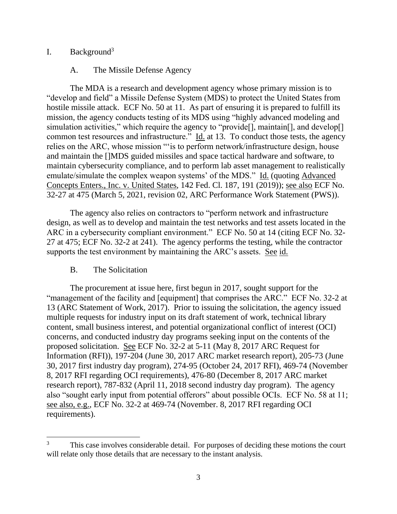# I. Background<sup>3</sup>

# A. The Missile Defense Agency

The MDA is a research and development agency whose primary mission is to "develop and field" a Missile Defense System (MDS) to protect the United States from hostile missile attack. ECF No. 50 at 11. As part of ensuring it is prepared to fulfill its mission, the agency conducts testing of its MDS using "highly advanced modeling and simulation activities," which require the agency to "provide<sup>[]</sup>, maintain<sup>[]</sup>, and develop<sup>[]</sup> common test resources and infrastructure."  $\underline{Id}$  at 13. To conduct those tests, the agency relies on the ARC, whose mission "'is to perform network/infrastructure design, house and maintain the []MDS guided missiles and space tactical hardware and software, to maintain cybersecurity compliance, and to perform lab asset management to realistically emulate/simulate the complex weapon systems' of the MDS." Id. (quoting Advanced Concepts Enters., Inc. v. United States, 142 Fed. Cl. 187, 191 (2019)); see also ECF No. 32-27 at 475 (March 5, 2021, revision 02, ARC Performance Work Statement (PWS)).

The agency also relies on contractors to "perform network and infrastructure design, as well as to develop and maintain the test networks and test assets located in the ARC in a cybersecurity compliant environment." ECF No. 50 at 14 (citing ECF No. 32- 27 at 475; ECF No. 32-2 at 241). The agency performs the testing, while the contractor supports the test environment by maintaining the ARC's assets. See id.

## B. The Solicitation

The procurement at issue here, first begun in 2017, sought support for the "management of the facility and [equipment] that comprises the ARC." ECF No. 32-2 at 13 (ARC Statement of Work, 2017). Prior to issuing the solicitation, the agency issued multiple requests for industry input on its draft statement of work, technical library content, small business interest, and potential organizational conflict of interest (OCI) concerns, and conducted industry day programs seeking input on the contents of the proposed solicitation. See ECF No. 32-2 at 5-11 (May 8, 2017 ARC Request for Information (RFI)), 197-204 (June 30, 2017 ARC market research report), 205-73 (June 30, 2017 first industry day program), 274-95 (October 24, 2017 RFI), 469-74 (November 8, 2017 RFI regarding OCI requirements), 476-80 (December 8, 2017 ARC market research report), 787-832 (April 11, 2018 second industry day program). The agency also "sought early input from potential offerors" about possible OCIs. ECF No. 58 at 11; see also, e.g., ECF No. 32-2 at 469-74 (November. 8, 2017 RFI regarding OCI requirements).

<sup>&</sup>lt;sup>3</sup> This case involves considerable detail. For purposes of deciding these motions the court will relate only those details that are necessary to the instant analysis.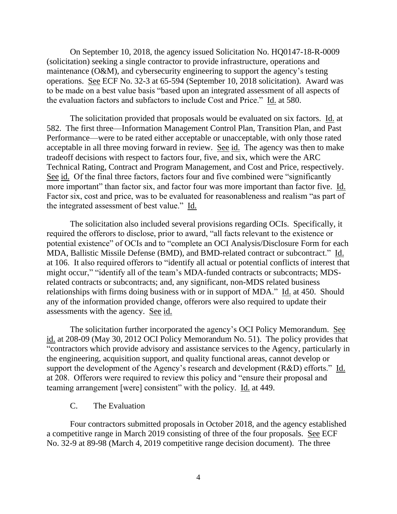On September 10, 2018, the agency issued Solicitation No. HQ0147-18-R-0009 (solicitation) seeking a single contractor to provide infrastructure, operations and maintenance (O&M), and cybersecurity engineering to support the agency's testing operations. See ECF No. 32-3 at 65-594 (September 10, 2018 solicitation). Award was to be made on a best value basis "based upon an integrated assessment of all aspects of the evaluation factors and subfactors to include Cost and Price." Id. at 580.

The solicitation provided that proposals would be evaluated on six factors. Id. at 582. The first three—Information Management Control Plan, Transition Plan, and Past Performance—were to be rated either acceptable or unacceptable, with only those rated acceptable in all three moving forward in review. See id. The agency was then to make tradeoff decisions with respect to factors four, five, and six, which were the ARC Technical Rating, Contract and Program Management, and Cost and Price, respectively. See id. Of the final three factors, factors four and five combined were "significantly more important" than factor six, and factor four was more important than factor five. Id. Factor six, cost and price, was to be evaluated for reasonableness and realism "as part of the integrated assessment of best value." Id.

The solicitation also included several provisions regarding OCIs. Specifically, it required the offerors to disclose, prior to award, "all facts relevant to the existence or potential existence" of OCIs and to "complete an OCI Analysis/Disclosure Form for each MDA, Ballistic Missile Defense (BMD), and BMD-related contract or subcontract." Id. at 106. It also required offerors to "identify all actual or potential conflicts of interest that might occur," "identify all of the team's MDA-funded contracts or subcontracts; MDSrelated contracts or subcontracts; and, any significant, non-MDS related business relationships with firms doing business with or in support of MDA." Id. at 450. Should any of the information provided change, offerors were also required to update their assessments with the agency. See id.

The solicitation further incorporated the agency's OCI Policy Memorandum. See id. at 208-09 (May 30, 2012 OCI Policy Memorandum No. 51). The policy provides that "contractors which provide advisory and assistance services to the Agency, particularly in the engineering, acquisition support, and quality functional areas, cannot develop or support the development of the Agency's research and development (R&D) efforts." Id. at 208. Offerors were required to review this policy and "ensure their proposal and teaming arrangement [were] consistent" with the policy. Id. at 449.

#### C. The Evaluation

Four contractors submitted proposals in October 2018, and the agency established a competitive range in March 2019 consisting of three of the four proposals. See ECF No. 32-9 at 89-98 (March 4, 2019 competitive range decision document). The three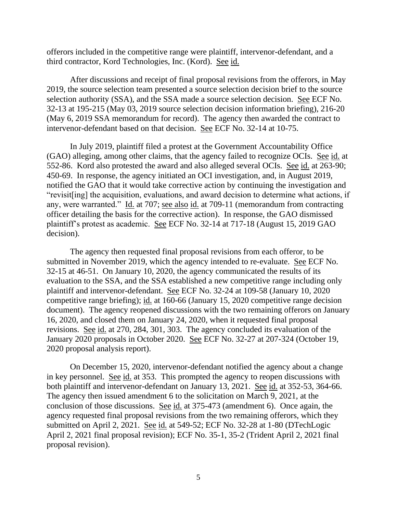offerors included in the competitive range were plaintiff, intervenor-defendant, and a third contractor, Kord Technologies, Inc. (Kord). See id.

After discussions and receipt of final proposal revisions from the offerors, in May 2019, the source selection team presented a source selection decision brief to the source selection authority (SSA), and the SSA made a source selection decision. See ECF No. 32-13 at 195-215 (May 03, 2019 source selection decision information briefing), 216-20 (May 6, 2019 SSA memorandum for record). The agency then awarded the contract to intervenor-defendant based on that decision. See ECF No. 32-14 at 10-75.

In July 2019, plaintiff filed a protest at the Government Accountability Office (GAO) alleging, among other claims, that the agency failed to recognize OCIs. See id. at 552-86. Kord also protested the award and also alleged several OCIs. See id. at 263-90; 450-69. In response, the agency initiated an OCI investigation, and, in August 2019, notified the GAO that it would take corrective action by continuing the investigation and "revisit[ing] the acquisition, evaluations, and award decision to determine what actions, if any, were warranted." Id. at 707; see also id. at 709-11 (memorandum from contracting officer detailing the basis for the corrective action). In response, the GAO dismissed plaintiff's protest as academic. See ECF No. 32-14 at 717-18 (August 15, 2019 GAO decision).

The agency then requested final proposal revisions from each offeror, to be submitted in November 2019, which the agency intended to re-evaluate. See ECF No. 32-15 at 46-51. On January 10, 2020, the agency communicated the results of its evaluation to the SSA, and the SSA established a new competitive range including only plaintiff and intervenor-defendant. See ECF No. 32-24 at 109-58 (January 10, 2020 competitive range briefing); id. at 160-66 (January 15, 2020 competitive range decision document). The agency reopened discussions with the two remaining offerors on January 16, 2020, and closed them on January 24, 2020, when it requested final proposal revisions. See id. at 270, 284, 301, 303. The agency concluded its evaluation of the January 2020 proposals in October 2020. See ECF No. 32-27 at 207-324 (October 19, 2020 proposal analysis report).

On December 15, 2020, intervenor-defendant notified the agency about a change in key personnel. See id. at 353. This prompted the agency to reopen discussions with both plaintiff and intervenor-defendant on January 13, 2021. See id. at 352-53, 364-66. The agency then issued amendment 6 to the solicitation on March 9, 2021, at the conclusion of those discussions. See id. at 375-473 (amendment 6). Once again, the agency requested final proposal revisions from the two remaining offerors, which they submitted on April 2, 2021. See id. at 549-52; ECF No. 32-28 at 1-80 (DTechLogic April 2, 2021 final proposal revision); ECF No. 35-1, 35-2 (Trident April 2, 2021 final proposal revision).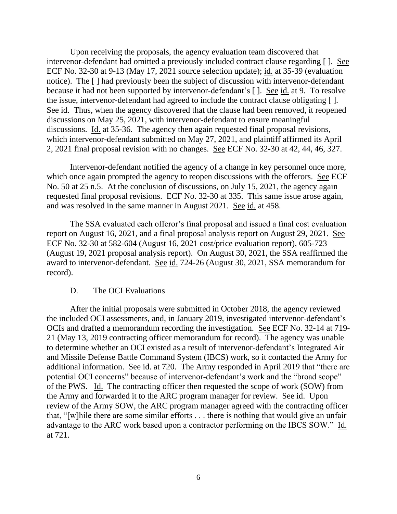Upon receiving the proposals, the agency evaluation team discovered that intervenor-defendant had omitted a previously included contract clause regarding [ ]. See ECF No. 32-30 at 9-13 (May 17, 2021 source selection update); id. at 35-39 (evaluation notice). The [ ] had previously been the subject of discussion with intervenor-defendant because it had not been supported by intervenor-defendant's [ ]. See id. at 9. To resolve the issue, intervenor-defendant had agreed to include the contract clause obligating [ ]. See id. Thus, when the agency discovered that the clause had been removed, it reopened discussions on May 25, 2021, with intervenor-defendant to ensure meaningful discussions. Id. at 35-36. The agency then again requested final proposal revisions, which intervenor-defendant submitted on May 27, 2021, and plaintiff affirmed its April 2, 2021 final proposal revision with no changes. See ECF No. 32-30 at 42, 44, 46, 327.

Intervenor-defendant notified the agency of a change in key personnel once more, which once again prompted the agency to reopen discussions with the offerors. See ECF No. 50 at 25 n.5. At the conclusion of discussions, on July 15, 2021, the agency again requested final proposal revisions. ECF No. 32-30 at 335. This same issue arose again, and was resolved in the same manner in August 2021. See id. at 458.

The SSA evaluated each offeror's final proposal and issued a final cost evaluation report on August 16, 2021, and a final proposal analysis report on August 29, 2021. See ECF No. 32-30 at 582-604 (August 16, 2021 cost/price evaluation report), 605-723 (August 19, 2021 proposal analysis report). On August 30, 2021, the SSA reaffirmed the award to intervenor-defendant. See id. 724-26 (August 30, 2021, SSA memorandum for record).

#### D. The OCI Evaluations

After the initial proposals were submitted in October 2018, the agency reviewed the included OCI assessments, and, in January 2019, investigated intervenor-defendant's OCIs and drafted a memorandum recording the investigation. See ECF No. 32-14 at 719- 21 (May 13, 2019 contracting officer memorandum for record). The agency was unable to determine whether an OCI existed as a result of intervenor-defendant's Integrated Air and Missile Defense Battle Command System (IBCS) work, so it contacted the Army for additional information. See id. at 720. The Army responded in April 2019 that "there are potential OCI concerns" because of intervenor-defendant's work and the "broad scope" of the PWS. Id. The contracting officer then requested the scope of work (SOW) from the Army and forwarded it to the ARC program manager for review. See id. Upon review of the Army SOW, the ARC program manager agreed with the contracting officer that, "[w]hile there are some similar efforts . . . there is nothing that would give an unfair advantage to the ARC work based upon a contractor performing on the IBCS SOW." Id. at 721.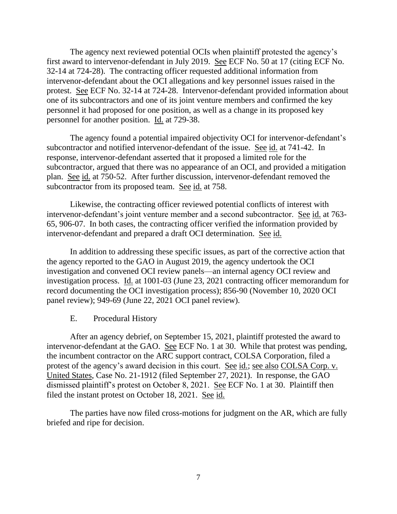The agency next reviewed potential OCIs when plaintiff protested the agency's first award to intervenor-defendant in July 2019. See ECF No. 50 at 17 (citing ECF No. 32-14 at 724-28). The contracting officer requested additional information from intervenor-defendant about the OCI allegations and key personnel issues raised in the protest. See ECF No. 32-14 at 724-28. Intervenor-defendant provided information about one of its subcontractors and one of its joint venture members and confirmed the key personnel it had proposed for one position, as well as a change in its proposed key personnel for another position. Id. at 729-38.

The agency found a potential impaired objectivity OCI for intervenor-defendant's subcontractor and notified intervenor-defendant of the issue. See id. at 741-42. In response, intervenor-defendant asserted that it proposed a limited role for the subcontractor, argued that there was no appearance of an OCI, and provided a mitigation plan. See id. at 750-52. After further discussion, intervenor-defendant removed the subcontractor from its proposed team. See id. at 758.

Likewise, the contracting officer reviewed potential conflicts of interest with intervenor-defendant's joint venture member and a second subcontractor. See id. at 763- 65, 906-07. In both cases, the contracting officer verified the information provided by intervenor-defendant and prepared a draft OCI determination. See id.

In addition to addressing these specific issues, as part of the corrective action that the agency reported to the GAO in August 2019, the agency undertook the OCI investigation and convened OCI review panels—an internal agency OCI review and investigation process. Id. at 1001-03 (June 23, 2021 contracting officer memorandum for record documenting the OCI investigation process); 856-90 (November 10, 2020 OCI panel review); 949-69 (June 22, 2021 OCI panel review).

#### E. Procedural History

After an agency debrief, on September 15, 2021, plaintiff protested the award to intervenor-defendant at the GAO. See ECF No. 1 at 30. While that protest was pending, the incumbent contractor on the ARC support contract, COLSA Corporation, filed a protest of the agency's award decision in this court. See id.; see also COLSA Corp. v. United States, Case No. 21-1912 (filed September 27, 2021). In response, the GAO dismissed plaintiff's protest on October 8, 2021. See ECF No. 1 at 30. Plaintiff then filed the instant protest on October 18, 2021. See id.

The parties have now filed cross-motions for judgment on the AR, which are fully briefed and ripe for decision.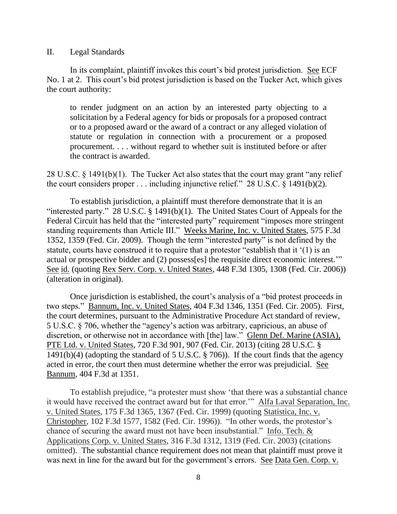#### II. Legal Standards

In its complaint, plaintiff invokes this court's bid protest jurisdiction. See ECF No. 1 at 2. This court's bid protest jurisdiction is based on the Tucker Act, which gives the court authority:

to render judgment on an action by an interested party objecting to a solicitation by a Federal agency for bids or proposals for a proposed contract or to a proposed award or the award of a contract or any alleged violation of statute or regulation in connection with a procurement or a proposed procurement. . . . without regard to whether suit is instituted before or after the contract is awarded.

28 U.S.C. § 1491(b)(1). The Tucker Act also states that the court may grant "any relief the court considers proper . . . including injunctive relief." 28 U.S.C. § 1491(b)(2).

To establish jurisdiction, a plaintiff must therefore demonstrate that it is an "interested party." 28 U.S.C.  $\S$  1491(b)(1). The United States Court of Appeals for the Federal Circuit has held that the "interested party" requirement "imposes more stringent standing requirements than Article III." Weeks Marine, Inc. v. United States, 575 F.3d 1352, 1359 (Fed. Cir. 2009). Though the term "interested party" is not defined by the statute, courts have construed it to require that a protestor "establish that it '(1) is an actual or prospective bidder and (2) possess[es] the requisite direct economic interest.'" See id. (quoting Rex Serv. Corp. v. United States, 448 F.3d 1305, 1308 (Fed. Cir. 2006)) (alteration in original).

Once jurisdiction is established, the court's analysis of a "bid protest proceeds in two steps." Bannum, Inc. v. United States, 404 F.3d 1346, 1351 (Fed. Cir. 2005). First, the court determines, pursuant to the Administrative Procedure Act standard of review, 5 U.S.C. § 706, whether the "agency's action was arbitrary, capricious, an abuse of discretion, or otherwise not in accordance with [the] law." Glenn Def. Marine (ASIA), PTE Ltd. v. United States, 720 F.3d 901, 907 (Fed. Cir. 2013) (citing 28 U.S.C. § 1491(b)(4) (adopting the standard of 5 U.S.C. § 706)). If the court finds that the agency acted in error, the court then must determine whether the error was prejudicial. See Bannum, 404 F.3d at 1351.

To establish prejudice, "a protester must show 'that there was a substantial chance it would have received the contract award but for that error.'" Alfa Laval Separation, Inc. v. United States, 175 F.3d 1365, 1367 (Fed. Cir. 1999) (quoting Statistica, Inc. v. Christopher, 102 F.3d 1577, 1582 (Fed. Cir. 1996)). "In other words, the protestor's chance of securing the award must not have been insubstantial." Info. Tech. & Applications Corp. v. United States, 316 F.3d 1312, 1319 (Fed. Cir. 2003) (citations omitted). The substantial chance requirement does not mean that plaintiff must prove it was next in line for the award but for the government's errors. See Data Gen. Corp. v.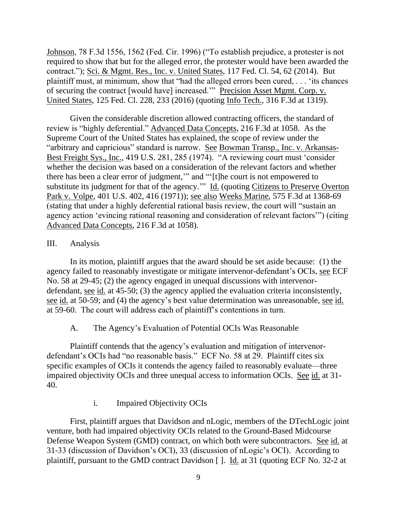Johnson, 78 F.3d 1556, 1562 (Fed. Cir. 1996) ("To establish prejudice, a protester is not required to show that but for the alleged error, the protester would have been awarded the contract."); Sci. & Mgmt. Res., Inc. v. United States, 117 Fed. Cl. 54, 62 (2014). But plaintiff must, at minimum, show that "had the alleged errors been cured, . . . 'its chances of securing the contract [would have] increased.'" Precision Asset Mgmt. Corp. v. United States, 125 Fed. Cl. 228, 233 (2016) (quoting Info Tech., 316 F.3d at 1319).

Given the considerable discretion allowed contracting officers, the standard of review is "highly deferential." Advanced Data Concepts, 216 F.3d at 1058. As the Supreme Court of the United States has explained, the scope of review under the "arbitrary and capricious" standard is narrow. See Bowman Transp., Inc. v. Arkansas-Best Freight Sys., Inc., 419 U.S. 281, 285 (1974). "A reviewing court must 'consider whether the decision was based on a consideration of the relevant factors and whether there has been a clear error of judgment,'" and "'[t]he court is not empowered to substitute its judgment for that of the agency."" Id. (quoting Citizens to Preserve Overton Park v. Volpe, 401 U.S. 402, 416 (1971)); see also Weeks Marine, 575 F.3d at 1368-69 (stating that under a highly deferential rational basis review, the court will "sustain an agency action 'evincing rational reasoning and consideration of relevant factors'") (citing Advanced Data Concepts, 216 F.3d at 1058).

## III. Analysis

In its motion, plaintiff argues that the award should be set aside because: (1) the agency failed to reasonably investigate or mitigate intervenor-defendant's OCIs, see ECF No. 58 at 29-45; (2) the agency engaged in unequal discussions with intervenordefendant, see id. at 45-50; (3) the agency applied the evaluation criteria inconsistently, see id. at 50-59; and (4) the agency's best value determination was unreasonable, see id. at 59-60. The court will address each of plaintiff's contentions in turn.

### A. The Agency's Evaluation of Potential OCIs Was Reasonable

Plaintiff contends that the agency's evaluation and mitigation of intervenordefendant's OCIs had "no reasonable basis." ECF No. 58 at 29. Plaintiff cites six specific examples of OCIs it contends the agency failed to reasonably evaluate—three impaired objectivity OCIs and three unequal access to information OCIs. See id. at 31- 40.

## i. Impaired Objectivity OCIs

First, plaintiff argues that Davidson and nLogic, members of the DTechLogic joint venture, both had impaired objectivity OCIs related to the Ground-Based Midcourse Defense Weapon System (GMD) contract, on which both were subcontractors. See id. at 31-33 (discussion of Davidson's OCI), 33 (discussion of nLogic's OCI). According to plaintiff, pursuant to the GMD contract Davidson [ ]. Id. at 31 (quoting ECF No. 32-2 at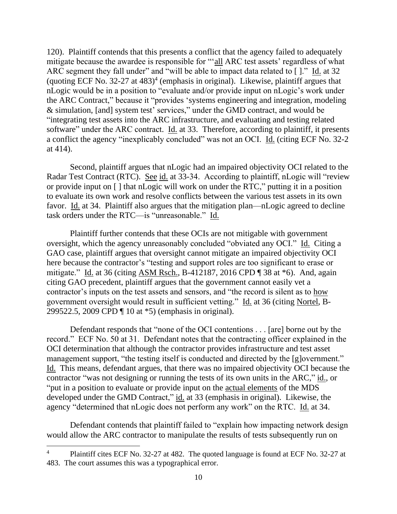120). Plaintiff contends that this presents a conflict that the agency failed to adequately mitigate because the awardee is responsible for "'all ARC test assets' regardless of what ARC segment they fall under" and "will be able to impact data related to []." Id. at 32 (quoting ECF No. 32-27 at 483) 4 (emphasis in original). Likewise, plaintiff argues that nLogic would be in a position to "evaluate and/or provide input on nLogic's work under the ARC Contract," because it "provides 'systems engineering and integration, modeling & simulation, [and] system test' services," under the GMD contract, and would be "integrating test assets into the ARC infrastructure, and evaluating and testing related software" under the ARC contract. Id. at 33. Therefore, according to plaintiff, it presents a conflict the agency "inexplicably concluded" was not an OCI. Id. (citing ECF No. 32-2 at 414).

Second, plaintiff argues that nLogic had an impaired objectivity OCI related to the Radar Test Contract (RTC). See id. at 33-34. According to plaintiff, nLogic will "review or provide input on [ ] that nLogic will work on under the RTC," putting it in a position to evaluate its own work and resolve conflicts between the various test assets in its own favor. Id. at 34. Plaintiff also argues that the mitigation plan—nLogic agreed to decline task orders under the RTC—is "unreasonable." Id.

Plaintiff further contends that these OCIs are not mitigable with government oversight, which the agency unreasonably concluded "obviated any OCI." Id. Citing a GAO case, plaintiff argues that oversight cannot mitigate an impaired objectivity OCI here because the contractor's "testing and support roles are too significant to erase or mitigate." Id. at 36 (citing ASM Rsch., B-412187, 2016 CPD ¶ 38 at \*6). And, again citing GAO precedent, plaintiff argues that the government cannot easily vet a contractor's inputs on the test assets and sensors, and "the record is silent as to how government oversight would result in sufficient vetting." Id. at 36 (citing Nortel, B-299522.5, 2009 CPD ¶ 10 at \*5) (emphasis in original).

Defendant responds that "none of the OCI contentions . . . [are] borne out by the record." ECF No. 50 at 31. Defendant notes that the contracting officer explained in the OCI determination that although the contractor provides infrastructure and test asset management support, "the testing itself is conducted and directed by the [g]overnment." Id. This means, defendant argues, that there was no impaired objectivity OCI because the contractor "was not designing or running the tests of its own units in the ARC," id., or "put in a position to evaluate or provide input on the actual elements of the MDS developed under the GMD Contract," id. at 33 (emphasis in original). Likewise, the agency "determined that nLogic does not perform any work" on the RTC. Id. at 34.

Defendant contends that plaintiff failed to "explain how impacting network design would allow the ARC contractor to manipulate the results of tests subsequently run on

<sup>&</sup>lt;sup>4</sup> Plaintiff cites ECF No. 32-27 at 482. The quoted language is found at ECF No. 32-27 at 483. The court assumes this was a typographical error.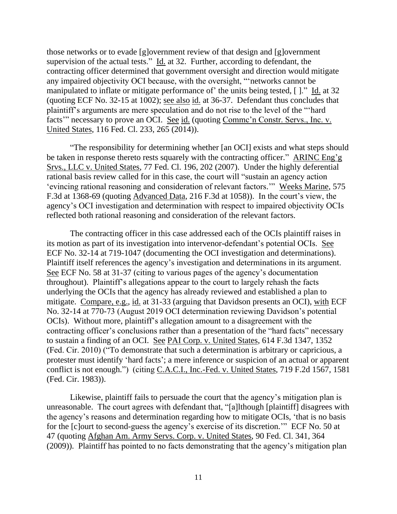those networks or to evade [g]overnment review of that design and [g]overnment supervision of the actual tests." Id. at 32. Further, according to defendant, the contracting officer determined that government oversight and direction would mitigate any impaired objectivity OCI because, with the oversight, "'networks cannot be manipulated to inflate or mitigate performance of' the units being tested, [ ]." Id. at 32 (quoting ECF No. 32-15 at 1002); see also id. at 36-37. Defendant thus concludes that plaintiff's arguments are mere speculation and do not rise to the level of the "'hard facts'" necessary to prove an OCI. See id. (quoting Commc'n Constr. Servs., Inc. v. United States, 116 Fed. Cl. 233, 265 (2014)).

"The responsibility for determining whether [an OCI] exists and what steps should be taken in response thereto rests squarely with the contracting officer." ARINC Eng'g Srvs., LLC v. United States, 77 Fed. Cl. 196, 202 (2007). Under the highly deferential rational basis review called for in this case, the court will "sustain an agency action 'evincing rational reasoning and consideration of relevant factors.'" Weeks Marine, 575 F.3d at 1368-69 (quoting Advanced Data, 216 F.3d at 1058)). In the court's view, the agency's OCI investigation and determination with respect to impaired objectivity OCIs reflected both rational reasoning and consideration of the relevant factors.

The contracting officer in this case addressed each of the OCIs plaintiff raises in its motion as part of its investigation into intervenor-defendant's potential OCIs. See ECF No. 32-14 at 719-1047 (documenting the OCI investigation and determinations). Plaintiff itself references the agency's investigation and determinations in its argument. See ECF No. 58 at 31-37 (citing to various pages of the agency's documentation throughout). Plaintiff's allegations appear to the court to largely rehash the facts underlying the OCIs that the agency has already reviewed and established a plan to mitigate. Compare, e.g., id. at 31-33 (arguing that Davidson presents an OCI), with ECF No. 32-14 at 770-73 (August 2019 OCI determination reviewing Davidson's potential OCIs). Without more, plaintiff's allegation amount to a disagreement with the contracting officer's conclusions rather than a presentation of the "hard facts" necessary to sustain a finding of an OCI. See PAI Corp. v. United States, 614 F.3d 1347, 1352 (Fed. Cir. 2010) ("To demonstrate that such a determination is arbitrary or capricious, a protester must identify 'hard facts'; a mere inference or suspicion of an actual or apparent conflict is not enough.") (citing C.A.C.I., Inc.-Fed. v. United States, 719 F.2d 1567, 1581 (Fed. Cir. 1983)).

Likewise, plaintiff fails to persuade the court that the agency's mitigation plan is unreasonable. The court agrees with defendant that, "[a]lthough [plaintiff] disagrees with the agency's reasons and determination regarding how to mitigate OCIs, 'that is no basis for the [c]ourt to second-guess the agency's exercise of its discretion.'" ECF No. 50 at 47 (quoting Afghan Am. Army Servs. Corp. v. United States, 90 Fed. Cl. 341, 364 (2009)). Plaintiff has pointed to no facts demonstrating that the agency's mitigation plan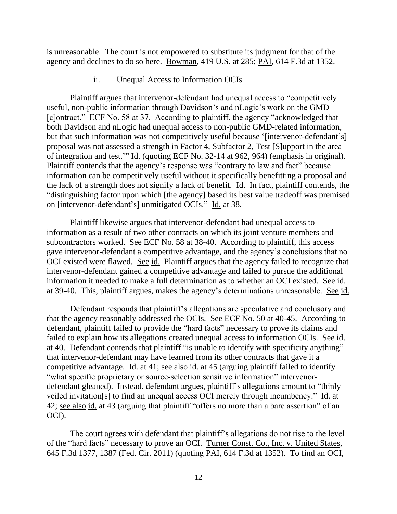is unreasonable. The court is not empowered to substitute its judgment for that of the agency and declines to do so here. Bowman, 419 U.S. at 285; PAI, 614 F.3d at 1352.

ii. Unequal Access to Information OCIs

Plaintiff argues that intervenor-defendant had unequal access to "competitively useful, non-public information through Davidson's and nLogic's work on the GMD [c]ontract." ECF No. 58 at 37. According to plaintiff, the agency "acknowledged that both Davidson and nLogic had unequal access to non-public GMD-related information, but that such information was not competitively useful because '[intervenor-defendant's] proposal was not assessed a strength in Factor 4, Subfactor 2, Test [S]upport in the area of integration and test.'" Id. (quoting ECF No. 32-14 at 962, 964) (emphasis in original). Plaintiff contends that the agency's response was "contrary to law and fact" because information can be competitively useful without it specifically benefitting a proposal and the lack of a strength does not signify a lack of benefit. Id. In fact, plaintiff contends, the "distinguishing factor upon which [the agency] based its best value tradeoff was premised on [intervenor-defendant's] unmitigated OCIs." Id. at 38.

Plaintiff likewise argues that intervenor-defendant had unequal access to information as a result of two other contracts on which its joint venture members and subcontractors worked. See ECF No. 58 at 38-40. According to plaintiff, this access gave intervenor-defendant a competitive advantage, and the agency's conclusions that no OCI existed were flawed. See id. Plaintiff argues that the agency failed to recognize that intervenor-defendant gained a competitive advantage and failed to pursue the additional information it needed to make a full determination as to whether an OCI existed. See id. at 39-40. This, plaintiff argues, makes the agency's determinations unreasonable. See id.

Defendant responds that plaintiff's allegations are speculative and conclusory and that the agency reasonably addressed the OCIs. See ECF No. 50 at 40-45. According to defendant, plaintiff failed to provide the "hard facts" necessary to prove its claims and failed to explain how its allegations created unequal access to information OCIs. See id. at 40. Defendant contends that plaintiff "is unable to identify with specificity anything" that intervenor-defendant may have learned from its other contracts that gave it a competitive advantage. Id. at 41; see also id. at 45 (arguing plaintiff failed to identify "what specific proprietary or source-selection sensitive information" intervenordefendant gleaned). Instead, defendant argues, plaintiff's allegations amount to "thinly veiled invitation[s] to find an unequal access OCI merely through incumbency." Id. at 42; see also id. at 43 (arguing that plaintiff "offers no more than a bare assertion" of an OCI).

The court agrees with defendant that plaintiff's allegations do not rise to the level of the "hard facts" necessary to prove an OCI. Turner Const. Co., Inc. v. United States, 645 F.3d 1377, 1387 (Fed. Cir. 2011) (quoting PAI, 614 F.3d at 1352). To find an OCI,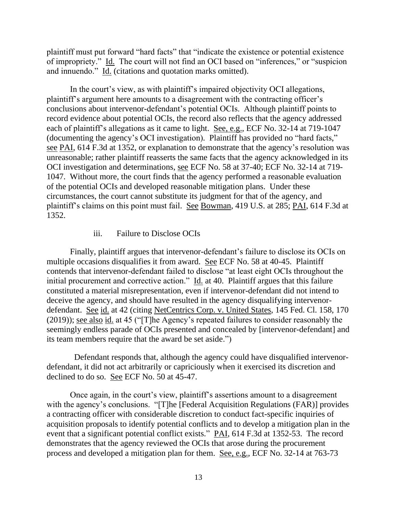plaintiff must put forward "hard facts" that "indicate the existence or potential existence of impropriety." Id. The court will not find an OCI based on "inferences," or "suspicion and innuendo." Id. (citations and quotation marks omitted).

In the court's view, as with plaintiff's impaired objectivity OCI allegations, plaintiff's argument here amounts to a disagreement with the contracting officer's conclusions about intervenor-defendant's potential OCIs. Although plaintiff points to record evidence about potential OCIs, the record also reflects that the agency addressed each of plaintiff's allegations as it came to light. See, e.g., ECF No. 32-14 at 719-1047 (documenting the agency's OCI investigation). Plaintiff has provided no "hard facts," see PAI, 614 F.3d at 1352, or explanation to demonstrate that the agency's resolution was unreasonable; rather plaintiff reasserts the same facts that the agency acknowledged in its OCI investigation and determinations, see ECF No. 58 at 37-40; ECF No. 32-14 at 719- 1047. Without more, the court finds that the agency performed a reasonable evaluation of the potential OCIs and developed reasonable mitigation plans. Under these circumstances, the court cannot substitute its judgment for that of the agency, and plaintiff's claims on this point must fail. See Bowman, 419 U.S. at 285; PAI, 614 F.3d at 1352.

#### iii. Failure to Disclose OCIs

Finally, plaintiff argues that intervenor-defendant's failure to disclose its OCIs on multiple occasions disqualifies it from award. See ECF No. 58 at 40-45. Plaintiff contends that intervenor-defendant failed to disclose "at least eight OCIs throughout the initial procurement and corrective action."  $\underline{Id}$  at 40. Plaintiff argues that this failure constituted a material misrepresentation, even if intervenor-defendant did not intend to deceive the agency, and should have resulted in the agency disqualifying intervenordefendant. See id. at 42 (citing NetCentrics Corp. v. United States, 145 Fed. Cl. 158, 170 (2019)); see also id. at 45 ("[T]he Agency's repeated failures to consider reasonably the seemingly endless parade of OCIs presented and concealed by [intervenor-defendant] and its team members require that the award be set aside.")

 Defendant responds that, although the agency could have disqualified intervenordefendant, it did not act arbitrarily or capriciously when it exercised its discretion and declined to do so. See ECF No. 50 at 45-47.

Once again, in the court's view, plaintiff's assertions amount to a disagreement with the agency's conclusions. "[T]he [Federal Acquisition Regulations (FAR)] provides a contracting officer with considerable discretion to conduct fact-specific inquiries of acquisition proposals to identify potential conflicts and to develop a mitigation plan in the event that a significant potential conflict exists." PAI, 614 F.3d at 1352-53. The record demonstrates that the agency reviewed the OCIs that arose during the procurement process and developed a mitigation plan for them. See, e.g., ECF No. 32-14 at 763-73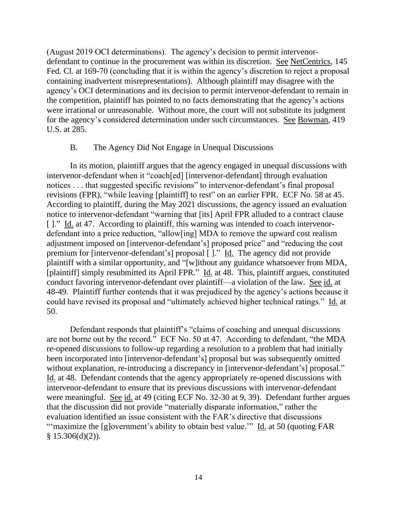(August 2019 OCI determinations). The agency's decision to permit intervenordefendant to continue in the procurement was within its discretion. See NetCentrics, 145 Fed. Cl. at 169-70 (concluding that it is within the agency's discretion to reject a proposal containing inadvertent misrepresentations). Although plaintiff may disagree with the agency's OCI determinations and its decision to permit intervenor-defendant to remain in the competition, plaintiff has pointed to no facts demonstrating that the agency's actions were irrational or unreasonable. Without more, the court will not substitute its judgment for the agency's considered determination under such circumstances. See Bowman, 419 U.S. at 285.

#### B. The Agency Did Not Engage in Unequal Discussions

In its motion, plaintiff argues that the agency engaged in unequal discussions with intervenor-defendant when it "coach[ed] [intervenor-defendant] through evaluation notices . . . that suggested specific revisions" to intervenor-defendant's final proposal revisions (FPR), "while leaving [plaintiff] to rest" on an earlier FPR. ECF No. 58 at 45. According to plaintiff, during the May 2021 discussions, the agency issued an evaluation notice to intervenor-defendant "warning that [its] April FPR alluded to a contract clause [ ]." Id. at 47. According to plaintiff, this warning was intended to coach intervenordefendant into a price reduction, "allow[ing] MDA to remove the upward cost realism adjustment imposed on [intervenor-defendant's] proposed price" and "reducing the cost premium for [intervenor-defendant's] proposal [ ]." Id. The agency did not provide plaintiff with a similar opportunity, and "[w]ithout any guidance whatsoever from MDA, [plaintiff] simply resubmitted its April FPR." Id. at 48. This, plaintiff argues, constituted conduct favoring intervenor-defendant over plaintiff—a violation of the law. See id. at 48-49. Plaintiff further contends that it was prejudiced by the agency's actions because it could have revised its proposal and "ultimately achieved higher technical ratings." Id. at 50.

Defendant responds that plaintiff's "claims of coaching and unequal discussions are not borne out by the record." ECF No. 50 at 47. According to defendant, "the MDA re-opened discussions to follow-up regarding a resolution to a problem that had initially been incorporated into [intervenor-defendant's] proposal but was subsequently omitted without explanation, re-introducing a discrepancy in [intervenor-defendant's] proposal." Id. at 48. Defendant contends that the agency appropriately re-opened discussions with intervenor-defendant to ensure that its previous discussions with intervenor-defendant were meaningful. See id. at 49 (citing ECF No. 32-30 at 9, 39). Defendant further argues that the discussion did not provide "materially disparate information," rather the evaluation identified an issue consistent with the FAR's directive that discussions "'maximize the [g]overnment's ability to obtain best value."" Id. at 50 (quoting FAR  $§ 15.306(d)(2)).$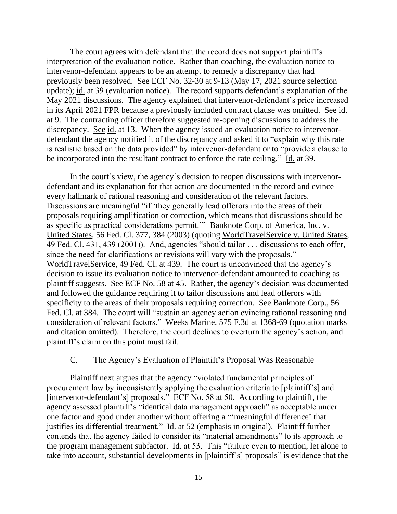The court agrees with defendant that the record does not support plaintiff's interpretation of the evaluation notice. Rather than coaching, the evaluation notice to intervenor-defendant appears to be an attempt to remedy a discrepancy that had previously been resolved. See ECF No. 32-30 at 9-13 (May 17, 2021 source selection update); id. at 39 (evaluation notice). The record supports defendant's explanation of the May 2021 discussions. The agency explained that intervenor-defendant's price increased in its April 2021 FPR because a previously included contract clause was omitted. See id. at 9. The contracting officer therefore suggested re-opening discussions to address the discrepancy. See id. at 13. When the agency issued an evaluation notice to intervenordefendant the agency notified it of the discrepancy and asked it to "explain why this rate is realistic based on the data provided" by intervenor-defendant or to "provide a clause to be incorporated into the resultant contract to enforce the rate ceiling." Id. at 39.

In the court's view, the agency's decision to reopen discussions with intervenordefendant and its explanation for that action are documented in the record and evince every hallmark of rational reasoning and consideration of the relevant factors. Discussions are meaningful "if 'they generally lead offerors into the areas of their proposals requiring amplification or correction, which means that discussions should be as specific as practical considerations permit.'" Banknote Corp. of America, Inc. v. United States, 56 Fed. Cl. 377, 384 (2003) (quoting WorldTravelService v. United States, 49 Fed. Cl. 431, 439 (2001)). And, agencies "should tailor . . . discussions to each offer, since the need for clarifications or revisions will vary with the proposals." WorldTravelService, 49 Fed. Cl. at 439. The court is unconvinced that the agency's decision to issue its evaluation notice to intervenor-defendant amounted to coaching as plaintiff suggests. See ECF No. 58 at 45. Rather, the agency's decision was documented and followed the guidance requiring it to tailor discussions and lead offerors with specificity to the areas of their proposals requiring correction. See Banknote Corp., 56 Fed. Cl. at 384. The court will "sustain an agency action evincing rational reasoning and consideration of relevant factors." Weeks Marine, 575 F.3d at 1368-69 (quotation marks and citation omitted). Therefore, the court declines to overturn the agency's action, and plaintiff's claim on this point must fail.

## C. The Agency's Evaluation of Plaintiff's Proposal Was Reasonable

Plaintiff next argues that the agency "violated fundamental principles of procurement law by inconsistently applying the evaluation criteria to [plaintiff's] and [intervenor-defendant's] proposals." ECF No. 58 at 50. According to plaintiff, the agency assessed plaintiff's "identical data management approach" as acceptable under one factor and good under another without offering a "'meaningful difference' that justifies its differential treatment." Id. at 52 (emphasis in original). Plaintiff further contends that the agency failed to consider its "material amendments" to its approach to the program management subfactor. Id. at 53. This "failure even to mention, let alone to take into account, substantial developments in [plaintiff's] proposals" is evidence that the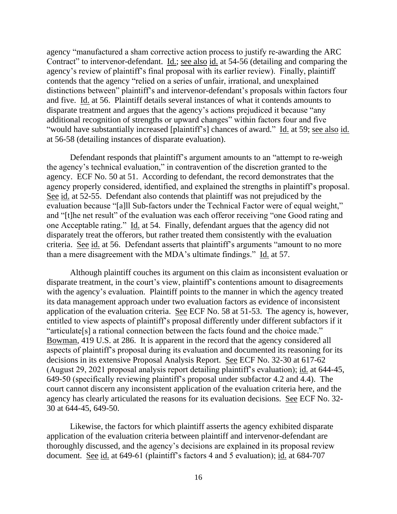agency "manufactured a sham corrective action process to justify re-awarding the ARC Contract" to intervenor-defendant. Id.; see also id. at 54-56 (detailing and comparing the agency's review of plaintiff's final proposal with its earlier review). Finally, plaintiff contends that the agency "relied on a series of unfair, irrational, and unexplained distinctions between" plaintiff's and intervenor-defendant's proposals within factors four and five. Id. at 56. Plaintiff details several instances of what it contends amounts to disparate treatment and argues that the agency's actions prejudiced it because "any additional recognition of strengths or upward changes" within factors four and five "would have substantially increased [plaintiff's] chances of award." Id. at 59; see also id. at 56-58 (detailing instances of disparate evaluation).

Defendant responds that plaintiff's argument amounts to an "attempt to re-weigh the agency's technical evaluation," in contravention of the discretion granted to the agency. ECF No. 50 at 51. According to defendant, the record demonstrates that the agency properly considered, identified, and explained the strengths in plaintiff's proposal. See id. at 52-55. Defendant also contends that plaintiff was not prejudiced by the evaluation because "[a]ll Sub-factors under the Technical Factor were of equal weight," and "[t]he net result" of the evaluation was each offeror receiving "one Good rating and one Acceptable rating." Id. at 54. Finally, defendant argues that the agency did not disparately treat the offerors, but rather treated them consistently with the evaluation criteria. See id. at 56. Defendant asserts that plaintiff's arguments "amount to no more than a mere disagreement with the MDA's ultimate findings." Id. at 57.

Although plaintiff couches its argument on this claim as inconsistent evaluation or disparate treatment, in the court's view, plaintiff's contentions amount to disagreements with the agency's evaluation. Plaintiff points to the manner in which the agency treated its data management approach under two evaluation factors as evidence of inconsistent application of the evaluation criteria. See ECF No. 58 at 51-53. The agency is, however, entitled to view aspects of plaintiff's proposal differently under different subfactors if it "articulate[s] a rational connection between the facts found and the choice made." Bowman, 419 U.S. at 286. It is apparent in the record that the agency considered all aspects of plaintiff's proposal during its evaluation and documented its reasoning for its decisions in its extensive Proposal Analysis Report. See ECF No. 32-30 at 617-62 (August 29, 2021 proposal analysis report detailing plaintiff's evaluation); id. at 644-45, 649-50 (specifically reviewing plaintiff's proposal under subfactor 4.2 and 4.4). The court cannot discern any inconsistent application of the evaluation criteria here, and the agency has clearly articulated the reasons for its evaluation decisions. See ECF No. 32- 30 at 644-45, 649-50.

Likewise, the factors for which plaintiff asserts the agency exhibited disparate application of the evaluation criteria between plaintiff and intervenor-defendant are thoroughly discussed, and the agency's decisions are explained in its proposal review document. See id. at 649-61 (plaintiff's factors 4 and 5 evaluation); id. at 684-707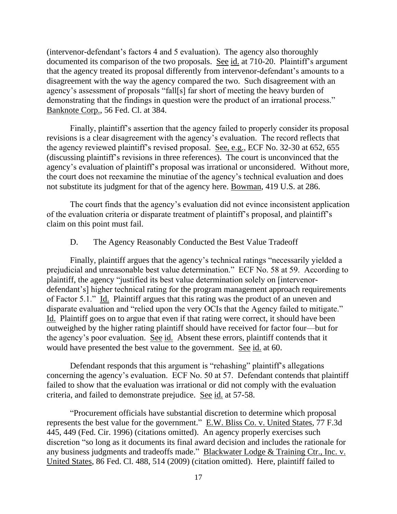(intervenor-defendant's factors 4 and 5 evaluation). The agency also thoroughly documented its comparison of the two proposals. See id. at 710-20. Plaintiff's argument that the agency treated its proposal differently from intervenor-defendant's amounts to a disagreement with the way the agency compared the two. Such disagreement with an agency's assessment of proposals "fall[s] far short of meeting the heavy burden of demonstrating that the findings in question were the product of an irrational process." Banknote Corp., 56 Fed. Cl. at 384.

Finally, plaintiff's assertion that the agency failed to properly consider its proposal revisions is a clear disagreement with the agency's evaluation. The record reflects that the agency reviewed plaintiff's revised proposal. See, e.g., ECF No. 32-30 at 652, 655 (discussing plaintiff's revisions in three references). The court is unconvinced that the agency's evaluation of plaintiff's proposal was irrational or unconsidered. Without more, the court does not reexamine the minutiae of the agency's technical evaluation and does not substitute its judgment for that of the agency here. Bowman, 419 U.S. at 286.

The court finds that the agency's evaluation did not evince inconsistent application of the evaluation criteria or disparate treatment of plaintiff's proposal, and plaintiff's claim on this point must fail.

#### D. The Agency Reasonably Conducted the Best Value Tradeoff

Finally, plaintiff argues that the agency's technical ratings "necessarily yielded a prejudicial and unreasonable best value determination." ECF No. 58 at 59. According to plaintiff, the agency "justified its best value determination solely on [intervenordefendant's] higher technical rating for the program management approach requirements of Factor 5.1." Id. Plaintiff argues that this rating was the product of an uneven and disparate evaluation and "relied upon the very OCIs that the Agency failed to mitigate." Id. Plaintiff goes on to argue that even if that rating were correct, it should have been outweighed by the higher rating plaintiff should have received for factor four—but for the agency's poor evaluation. See id. Absent these errors, plaintiff contends that it would have presented the best value to the government. See id. at 60.

Defendant responds that this argument is "rehashing" plaintiff's allegations concerning the agency's evaluation. ECF No. 50 at 57. Defendant contends that plaintiff failed to show that the evaluation was irrational or did not comply with the evaluation criteria, and failed to demonstrate prejudice. See id. at 57-58.

"Procurement officials have substantial discretion to determine which proposal represents the best value for the government." E.W. Bliss Co. v. United States, 77 F.3d 445, 449 (Fed. Cir. 1996) (citations omitted). An agency properly exercises such discretion "so long as it documents its final award decision and includes the rationale for any business judgments and tradeoffs made." Blackwater Lodge & Training Ctr., Inc. v. United States, 86 Fed. Cl. 488, 514 (2009) (citation omitted). Here, plaintiff failed to